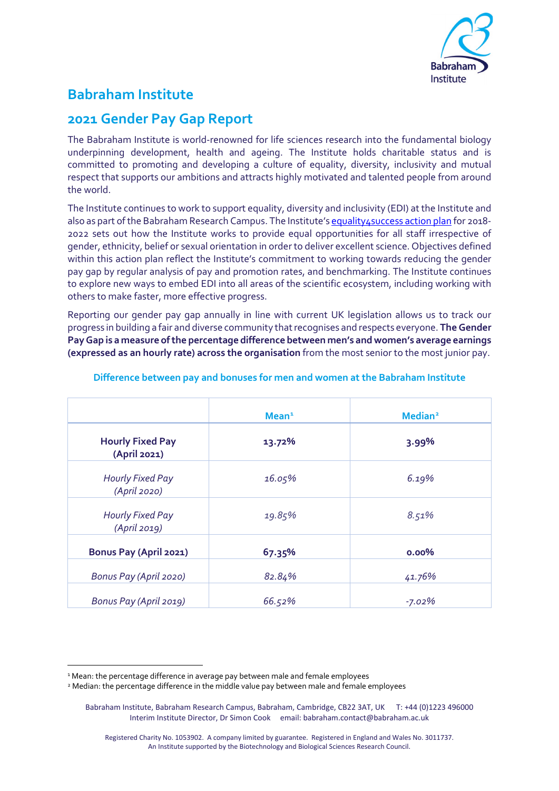

# **Babraham Institute**

## **2021 Gender Pay Gap Report**

The Babraham Institute is world-renowned for life sciences research into the fundamental biology underpinning development, health and ageing. The Institute holds charitable status and is committed to promoting and developing a culture of equality, diversity, inclusivity and mutual respect that supports our ambitions and attracts highly motivated and talented people from around the world.

The Institute continues to work to support equality, diversity and inclusivity (EDI) at the Institute and also as part of the Babraham Research Campus. The Institute's equality4 success action plan for 2018-2022 sets out how the Institute works to provide equal opportunities for all staff irrespective of gender, ethnicity, belief or sexual orientation in order to deliver excellent science. Objectives defined within this action plan reflect the Institute's commitment to working towards reducing the gender pay gap by regular analysis of pay and promotion rates, and benchmarking. The Institute continues to explore new ways to embed EDI into all areas of the scientific ecosystem, including working with others to make faster, more effective progress.

Reporting our gender pay gap annually in line with current UK legislation allows us to track our progress in building a fair and diverse community that recognises and respects everyone. **The Gender Pay Gap is a measure of the percentage difference between men's and women's average earnings (expressed as an hourly rate) across the organisation** from the most senior to the most junior pay.

|                                         | Mean <sup>1</sup> | Median <sup>2</sup> |
|-----------------------------------------|-------------------|---------------------|
| <b>Hourly Fixed Pay</b><br>(April 2021) | 13.72%            | 3.99%               |
| <b>Hourly Fixed Pay</b><br>(April 2020) | 16.05%            | 6.19%               |
| Hourly Fixed Pay<br>(April 2019)        | 19.85%            | 8.51%               |
| Bonus Pay (April 2021)                  | 67.35%            | 0.00%               |
| Bonus Pay (April 2020)                  | 82.84%            | 41.76%              |
| Bonus Pay (April 2019)                  | 66.52%            | $-7.02%$            |

## **Difference between pay and bonuses for men and women at the Babraham Institute**

<span id="page-0-0"></span><sup>&</sup>lt;sup>1</sup> Mean: the percentage difference in average pay between male and female employees

<span id="page-0-1"></span><sup>2</sup> Median: the percentage difference in the middle value pay between male and female employees

Babraham Institute, Babraham Research Campus, Babraham, Cambridge, CB22 3AT, UK T: +44 (0)1223 496000 Interim Institute Director, Dr Simon Cook email: babraham.contact@babraham.ac.uk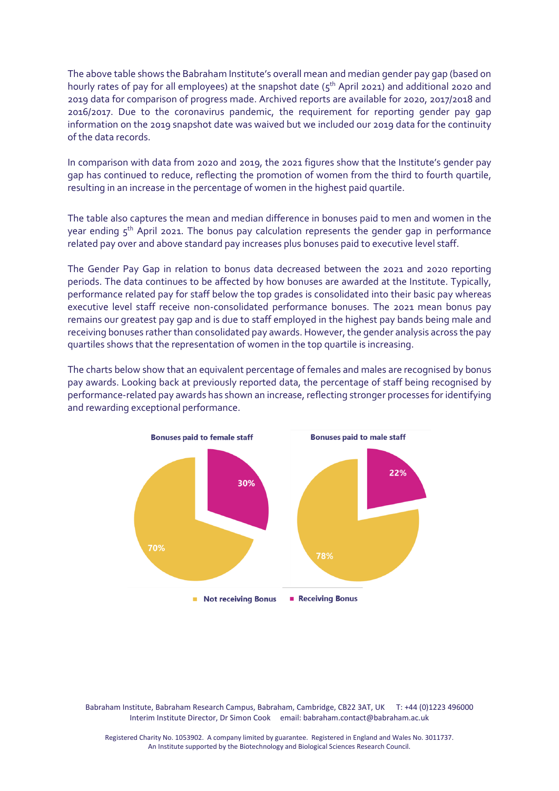The above table shows the Babraham Institute's overall mean and median gender pay gap (based on hourly rates of pay for all employees) at the snapshot date ( $5<sup>th</sup>$  April 2021) and additional 2020 and 2019 data for comparison of progress made. Archived reports are available for 2020, 2017/2018 and 2016/2017. Due to the coronavirus pandemic, the requirement for reporting gender pay gap information on the 2019 snapshot date was waived but we included our 2019 data for the continuity of the data records.

In comparison with data from 2020 and 2019, the 2021 figures show that the Institute's gender pay gap has continued to reduce, reflecting the promotion of women from the third to fourth quartile, resulting in an increase in the percentage of women in the highest paid quartile.

The table also captures the mean and median difference in bonuses paid to men and women in the year ending  $5<sup>th</sup>$  April 2021. The bonus pay calculation represents the gender gap in performance related pay over and above standard pay increases plus bonuses paid to executive level staff.

The Gender Pay Gap in relation to bonus data decreased between the 2021 and 2020 reporting periods. The data continues to be affected by how bonuses are awarded at the Institute. Typically, performance related pay for staff below the top grades is consolidated into their basic pay whereas executive level staff receive non-consolidated performance bonuses. The 2021 mean bonus pay remains our greatest pay gap and is due to staff employed in the highest pay bands being male and receiving bonuses rather than consolidated pay awards. However, the gender analysis across the pay quartiles shows that the representation of women in the top quartile is increasing.

The charts below show that an equivalent percentage of females and males are recognised by bonus pay awards. Looking back at previously reported data, the percentage of staff being recognised by performance-related pay awards has shown an increase, reflecting stronger processes for identifying and rewarding exceptional performance.



Babraham Institute, Babraham Research Campus, Babraham, Cambridge, CB22 3AT, UK T: +44 (0)1223 496000 Interim Institute Director, Dr Simon Cook email: babraham.contact@babraham.ac.uk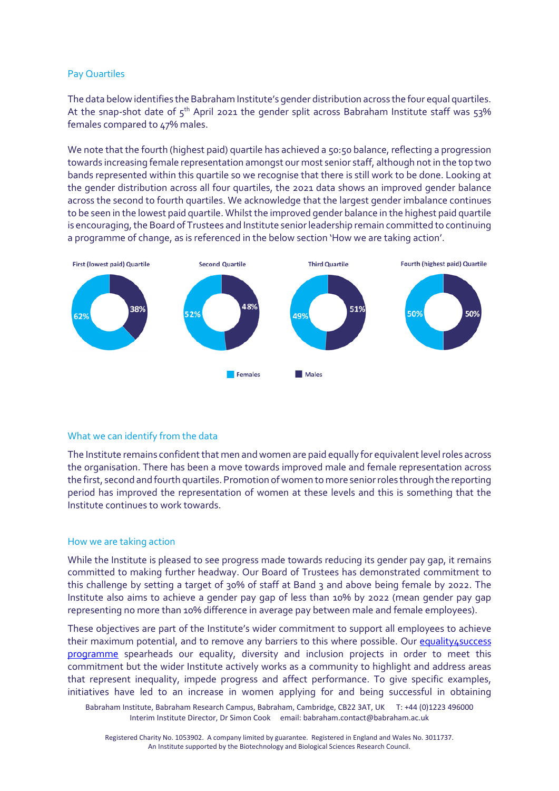#### Pay Quartiles

The data below identifies the Babraham Institute's gender distribution across the four equal quartiles. At the snap-shot date of  $5<sup>th</sup>$  April 2021 the gender split across Babraham Institute staff was  $53%$ females compared to 47% males.

We note that the fourth (highest paid) quartile has achieved a 50:50 balance, reflecting a progression towards increasing female representation amongst our most senior staff, although not in the top two bands represented within this quartile so we recognise that there is still work to be done. Looking at the gender distribution across all four quartiles, the 2021 data shows an improved gender balance across the second to fourth quartiles. We acknowledge that the largest gender imbalance continues to be seen in the lowest paid quartile. Whilst the improved gender balance in the highest paid quartile is encouraging, the Board of Trustees and Institute senior leadership remain committed to continuing a programme of change, as is referenced in the below section 'How we are taking action'.



## What we can identify from the data

The Institute remains confident that men and women are paid equally for equivalent level roles across the organisation. There has been a move towards improved male and female representation across the first, second and fourth quartiles. Promotion of women to more senior roles through the reporting period has improved the representation of women at these levels and this is something that the Institute continues to work towards.

#### How we are taking action

While the Institute is pleased to see progress made towards reducing its gender pay gap, it remains committed to making further headway. Our Board of Trustees has demonstrated commitment to this challenge by setting a target of 30% of staff at Band 3 and above being female by 2022. The Institute also aims to achieve a gender pay gap of less than 10% by 2022 (mean gender pay gap representing no more than 10% difference in average pay between male and female employees).

These objectives are part of the Institute's wider commitment to support all employees to achieve their maximum potential, and to remove any barriers to this where possible. Our equality4success [programme](https://www.babraham.ac.uk/about-us/e4s) spearheads our equality, diversity and inclusion projects in order to meet this commitment but the wider Institute actively works as a community to highlight and address areas that represent inequality, impede progress and affect performance. To give specific examples, initiatives have led to an increase in women applying for and being successful in obtaining

Babraham Institute, Babraham Research Campus, Babraham, Cambridge, CB22 3AT, UK T: +44 (0)1223 496000 Interim Institute Director, Dr Simon Cook email: babraham.contact@babraham.ac.uk